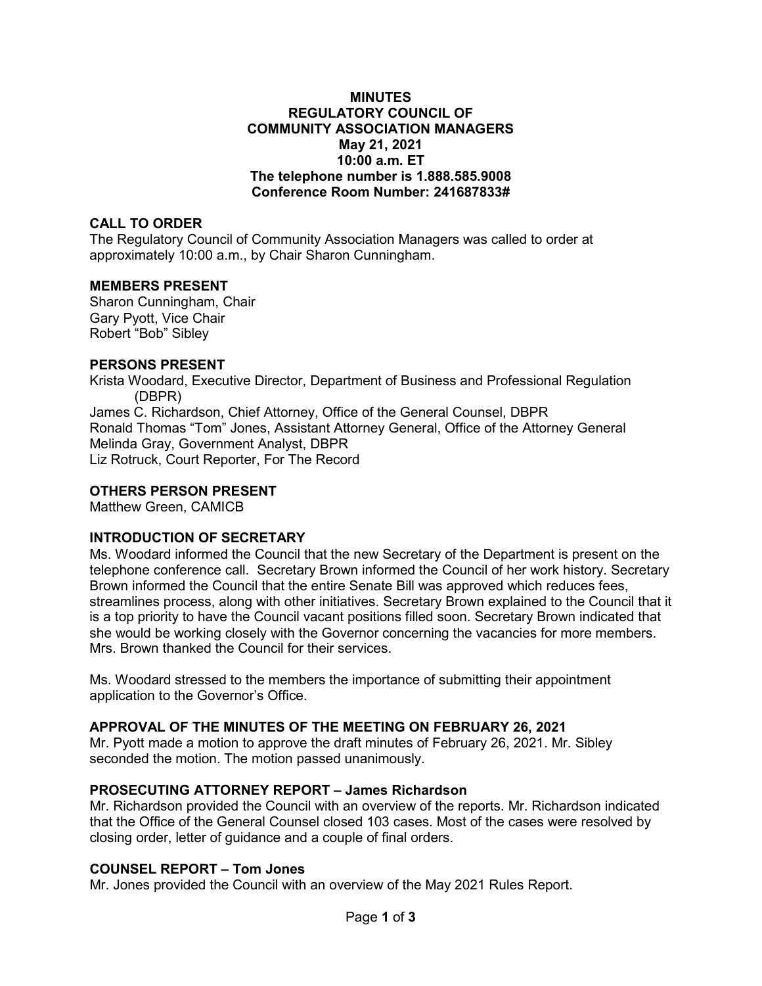### **MINUTES REGULATORY COUNCIL OF COMMUNITY ASSOCIATION MANAGERS May 21, 2021 10:00 a.m. ET The telephone number is 1.888.585.9008 Conference Room Number: 241687833#**

### **CALL TO ORDER**

The Regulatory Council of Community Association Managers was called to order at approximately 10:00 a.m., by Chair Sharon Cunningham.

### **MEMBERS PRESENT**

Sharon Cunningham, Chair Gary Pyott, Vice Chair Robert "Bob" Sibley

### **PERSONS PRESENT**

Krista Woodard, Executive Director, Department of Business and Professional Regulation (DBPR) James C. Richardson, Chief Attorney, Office of the General Counsel, DBPR Ronald Thomas "Tom" Jones, Assistant Attorney General, Office of the Attorney General Melinda Gray, Government Analyst, DBPR Liz Rotruck, Court Reporter, For The Record

#### **OTHERS PERSON PRESENT**

Matthew Green, CAMICB

## **INTRODUCTION OF SECRETARY**

Ms. Woodard informed the Council that the new Secretary of the Department is present on the telephone conference call. Secretary Brown informed the Council of her work history. Secretary Brown informed the Council that the entire Senate Bill was approved which reduces fees, streamlines process, along with other initiatives. Secretary Brown explained to the Council that it is a top priority to have the Council vacant positions filled soon. Secretary Brown indicated that she would be working closely with the Governor concerning the vacancies for more members. Mrs. Brown thanked the Council for their services.

Ms. Woodard stressed to the members the importance of submitting their appointment application to the Governor's Office.

## **APPROVAL OF THE MINUTES OF THE MEETING ON FEBRUARY 26, 2021**

Mr. Pyott made a motion to approve the draft minutes of February 26, 2021. Mr. Sibley seconded the motion. The motion passed unanimously.

## **PROSECUTING ATTORNEY REPORT – James Richardson**

Mr. Richardson provided the Council with an overview of the reports. Mr. Richardson indicated that the Office of the General Counsel closed 103 cases. Most of the cases were resolved by closing order, letter of guidance and a couple of final orders.

# **COUNSEL REPORT – Tom Jones**

Mr. Jones provided the Council with an overview of the May 2021 Rules Report.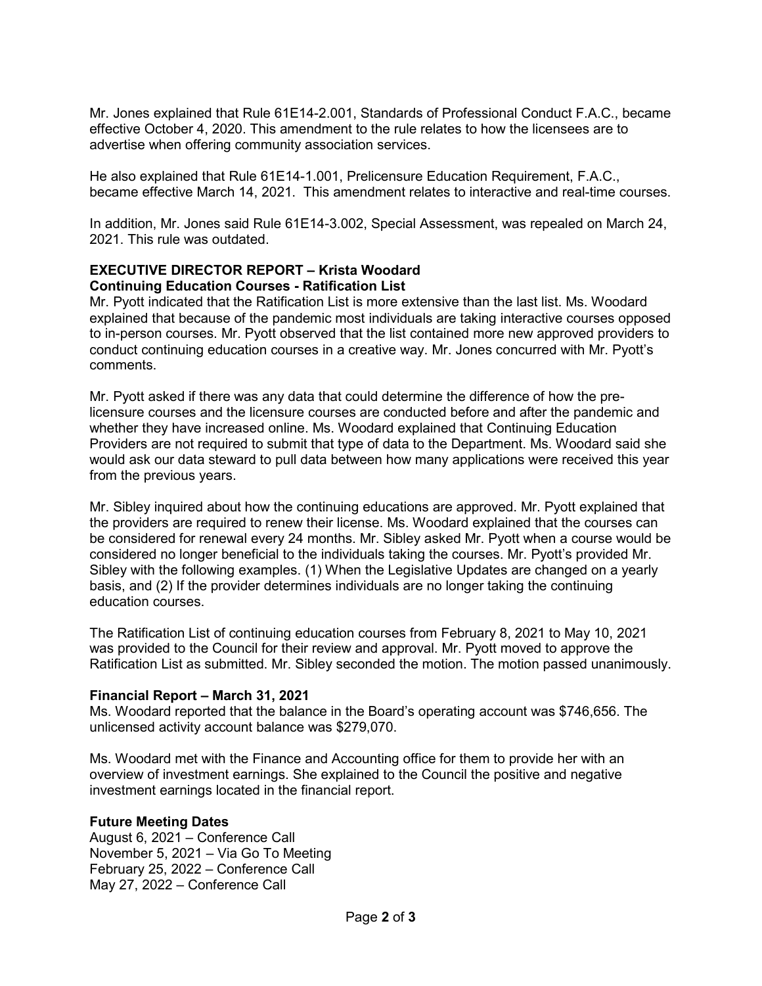Mr. Jones explained that Rule 61E14-2.001, Standards of Professional Conduct F.A.C., became effective October 4, 2020. This amendment to the rule relates to how the licensees are to advertise when offering community association services.

He also explained that Rule 61E14-1.001, Prelicensure Education Requirement, F.A.C., became effective March 14, 2021. This amendment relates to interactive and real-time courses.

In addition, Mr. Jones said Rule 61E14-3.002, Special Assessment, was repealed on March 24, 2021. This rule was outdated.

## **EXECUTIVE DIRECTOR REPORT – Krista Woodard Continuing Education Courses - Ratification List**

Mr. Pyott indicated that the Ratification List is more extensive than the last list. Ms. Woodard explained that because of the pandemic most individuals are taking interactive courses opposed to in-person courses. Mr. Pyott observed that the list contained more new approved providers to conduct continuing education courses in a creative way. Mr. Jones concurred with Mr. Pyott's comments.

Mr. Pyott asked if there was any data that could determine the difference of how the prelicensure courses and the licensure courses are conducted before and after the pandemic and whether they have increased online. Ms. Woodard explained that Continuing Education Providers are not required to submit that type of data to the Department. Ms. Woodard said she would ask our data steward to pull data between how many applications were received this year from the previous years.

Mr. Sibley inquired about how the continuing educations are approved. Mr. Pyott explained that the providers are required to renew their license. Ms. Woodard explained that the courses can be considered for renewal every 24 months. Mr. Sibley asked Mr. Pyott when a course would be considered no longer beneficial to the individuals taking the courses. Mr. Pyott's provided Mr. Sibley with the following examples. (1) When the Legislative Updates are changed on a yearly basis, and (2) If the provider determines individuals are no longer taking the continuing education courses.

The Ratification List of continuing education courses from February 8, 2021 to May 10, 2021 was provided to the Council for their review and approval. Mr. Pyott moved to approve the Ratification List as submitted. Mr. Sibley seconded the motion. The motion passed unanimously.

## **Financial Report – March 31, 2021**

Ms. Woodard reported that the balance in the Board's operating account was \$746,656. The unlicensed activity account balance was \$279,070.

Ms. Woodard met with the Finance and Accounting office for them to provide her with an overview of investment earnings. She explained to the Council the positive and negative investment earnings located in the financial report.

## **Future Meeting Dates**

August 6, 2021 – Conference Call November 5, 2021 – Via Go To Meeting February 25, 2022 – Conference Call May 27, 2022 – Conference Call